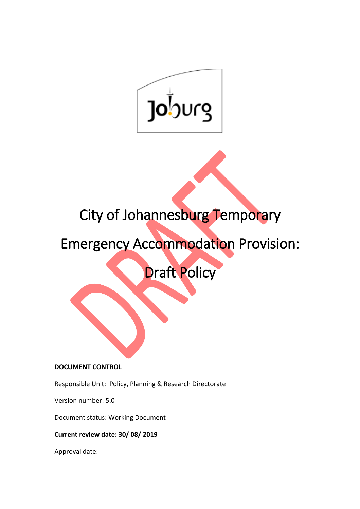

# City of Johannesburg Temporary

 $\overline{a}$ 

# Emergency Accommodation Provision:

Draft Policy

# **DOCUMENT CONTROL**

Responsible Unit: Policy, Planning & Research Directorate

Version number: 5.0

Document status: Working Document

**Current review date: 30/ 08/ 2019**

Approval date: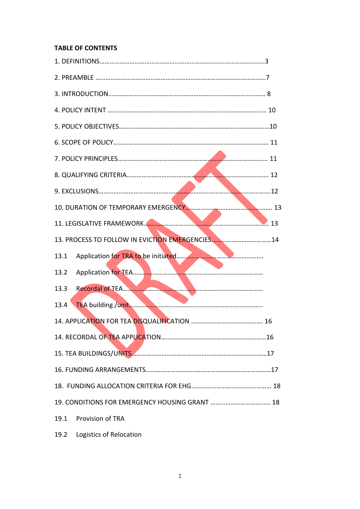# **TABLE OF CONTENTS**

| 13. PROCESS TO FOLLOW IN EVICTION EMERGENCIES14 |
|-------------------------------------------------|
| 13.1                                            |
| 13.2                                            |
| 13.3                                            |
| 13.4                                            |
|                                                 |
|                                                 |
|                                                 |
|                                                 |
|                                                 |
|                                                 |
| <b>Provision of TRA</b><br>19.1                 |
|                                                 |

19.2 Logistics of Relocation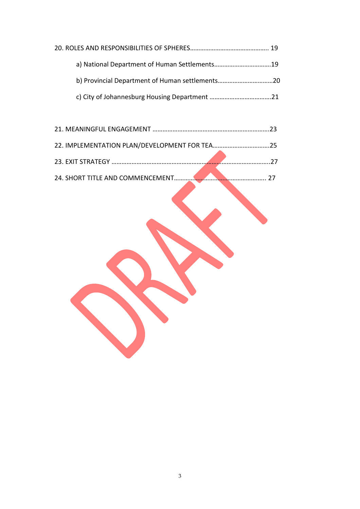| a) National Department of Human Settlements19 |  |
|-----------------------------------------------|--|
|                                               |  |
|                                               |  |

| 22. IMPLEMENTATION PLAN/DEVELOPMENT FOR TEA25 |  |
|-----------------------------------------------|--|
|                                               |  |
|                                               |  |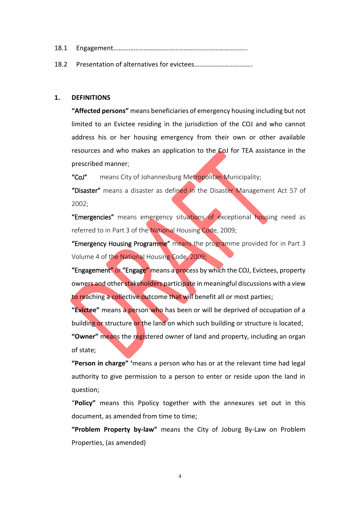| 18.1 |  |
|------|--|
|------|--|

18.2 Presentation of alternatives for evictees……………………………..

#### **1. DEFINITIONS**

**"Affected persons"** means beneficiaries of emergency housing including but not limited to an Evictee residing in the jurisdiction of the COJ and who cannot address his or her housing emergency from their own or other available resources and who makes an application to the CoJ for TEA assistance in the prescribed manner;

"CoJ" means City of Johannesburg Metropolitan Municipality;

"Disaster" means a disaster as defined in the Disaster Management Act 57 of 2002;

"Emergencies" means emergency situations of exceptional housing need as referred to in Part 3 of the National Housing Code, 2009;

"Emergency Housing Programme" means the programme provided for in Part 3 Volume 4 of the National Housing Code, 2009;

"Engagement" or "Engage" means a process by which the COJ, Evictees, property owners and other stakeholders participate in meaningful discussions with a view to reaching a collective outcome that will benefit all or most parties;

**"Evictee"** means a person who has been or will be deprived of occupation of a building or structure or the land on which such building or structure is located;

**"Owner"** means the registered owner of land and property, including an organ of state;

**"Person in charge" '**means a person who has or at the relevant time had legal authority to give permission to a person to enter or reside upon the land in question;

"**Policy"** means this Ppolicy together with the annexures set out in this document, as amended from time to time;

**"Problem Property by-law"** means the City of Joburg By-Law on Problem Properties, (as amended)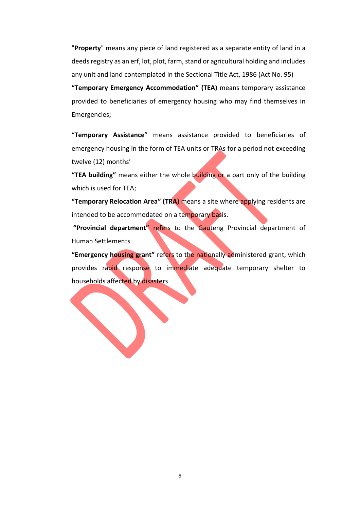"**Property**" means any piece of land registered as a separate entity of land in a deeds registry as an erf, lot, plot, farm, stand or agricultural holding and includes any unit and land contemplated in the Sectional Title Act, 1986 (Act No. 95)

**"Temporary Emergency Accommodation" (TEA)** means temporary assistance provided to beneficiaries of emergency housing who may find themselves in Emergencies;

"**Temporary Assistance**" means assistance provided to beneficiaries of emergency housing in the form of TEA units or TRAs for a period not exceeding twelve (12) months'

**"TEA building"** means either the whole building or a part only of the building which is used for TEA;

**"Temporary Relocation Area" (TRA)** means a site where applying residents are intended to be accommodated on a temporary basis.

**"Provincial department"** refers to the Gauteng Provincial department of Human Settlements

**"Emergency housing grant"** refers to the nationally administered grant, which provides rapid response to immediate adequate temporary shelter to households affected by disasters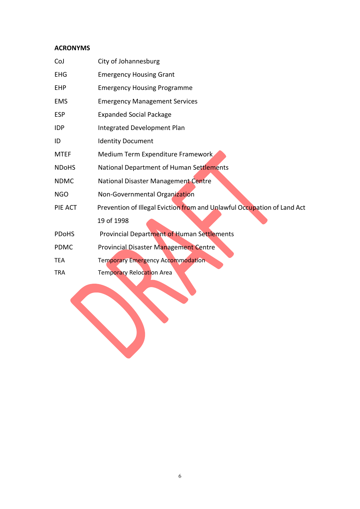# **ACRONYMS**

| CoJ          | City of Johannesburg                                                    |
|--------------|-------------------------------------------------------------------------|
| <b>EHG</b>   | <b>Emergency Housing Grant</b>                                          |
| <b>EHP</b>   | <b>Emergency Housing Programme</b>                                      |
| <b>EMS</b>   | <b>Emergency Management Services</b>                                    |
| <b>ESP</b>   | <b>Expanded Social Package</b>                                          |
| <b>IDP</b>   | Integrated Development Plan                                             |
| ID           | <b>Identity Document</b>                                                |
| <b>MTEF</b>  | Medium Term Expenditure Framework                                       |
| <b>NDoHS</b> | National Department of Human Settlements                                |
| <b>NDMC</b>  | National Disaster Management Centre                                     |
| <b>NGO</b>   | Non-Governmental Organization                                           |
| PIE ACT      | Prevention of Illegal Eviction from and Unlawful Occupation of Land Act |
|              | 19 of 1998                                                              |
| <b>PDoHS</b> | Provincial Department of Human Settlements                              |
| <b>PDMC</b>  | <b>Provincial Disaster Management Centre</b>                            |
| <b>TEA</b>   | <b>Temporary Emergency Accommodation</b>                                |
| <b>TRA</b>   | Temporary Relocation Area                                               |
|              |                                                                         |
|              |                                                                         |
|              |                                                                         |
|              |                                                                         |
|              |                                                                         |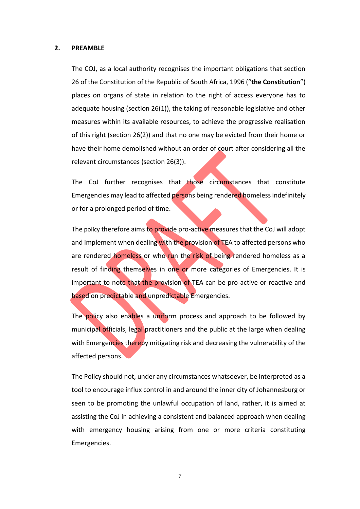#### **2. PREAMBLE**

The COJ, as a local authority recognises the important obligations that section 26 of the Constitution of the Republic of South Africa, 1996 ("**the Constitution**") places on organs of state in relation to the right of access everyone has to adequate housing (section 26(1)), the taking of reasonable legislative and other measures within its available resources, to achieve the progressive realisation of this right (section 26(2)) and that no one may be evicted from their home or have their home demolished without an order of court after considering all the relevant circumstances (section 26(3)).

The CoJ further recognises that those circumstances that constitute Emergencies may lead to affected persons being rendered homeless indefinitely or for a prolonged period of time.

The policy therefore aims to provide pro-active measures that the CoJ will adopt and implement when dealing with the provision of TEA to affected persons who are rendered homeless or who run the risk of being rendered homeless as a result of finding themselves in one or more categories of Emergencies. It is important to note that the provision of TEA can be pro-active or reactive and based on predictable and unpredictable Emergencies.

The policy also enables a uniform process and approach to be followed by municipal officials, legal practitioners and the public at the large when dealing with Emergencies thereby mitigating risk and decreasing the vulnerability of the affected persons.

The Policy should not, under any circumstances whatsoever, be interpreted as a tool to encourage influx control in and around the inner city of Johannesburg or seen to be promoting the unlawful occupation of land, rather, it is aimed at assisting the CoJ in achieving a consistent and balanced approach when dealing with emergency housing arising from one or more criteria constituting Emergencies.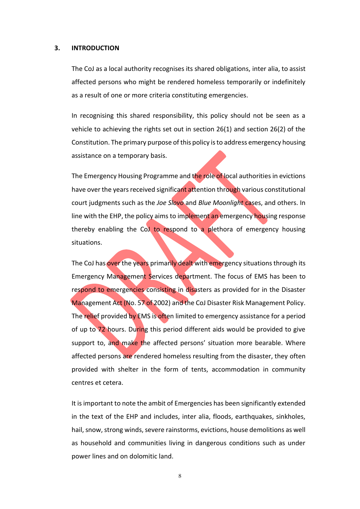#### **3. INTRODUCTION**

The CoJ as a local authority recognises its shared obligations, inter alia, to assist affected persons who might be rendered homeless temporarily or indefinitely as a result of one or more criteria constituting emergencies.

In recognising this shared responsibility, this policy should not be seen as a vehicle to achieving the rights set out in section 26(1) and section 26(2) of the Constitution. The primary purpose of this policy is to address emergency housing assistance on a temporary basis.

The Emergency Housing Programme and the role of local authorities in evictions have over the years received significant attention through various constitutional court judgments such as the *Joe Slovo* and *Blue Moonlight* cases, and others. In line with the EHP, the policy aims to implement an emergency housing response thereby enabling the CoJ to respond to a plethora of emergency housing situations.

The CoJ has over the years primarily dealt with emergency situations through its Emergency Management Services department. The focus of EMS has been to respond to emergencies consisting in disasters as provided for in the Disaster Management Act (No. 57 of 2002) and the CoJ Disaster Risk Management Policy. The relief provided by EMS is often limited to emergency assistance for a period of up to 72 hours. During this period different aids would be provided to give support to, and make the affected persons' situation more bearable. Where affected persons are rendered homeless resulting from the disaster, they often provided with shelter in the form of tents, accommodation in community centres et cetera.

It is important to note the ambit of Emergencies has been significantly extended in the text of the EHP and includes, inter alia, floods, earthquakes, sinkholes, hail, snow, strong winds, severe rainstorms, evictions, house demolitions as well as household and communities living in dangerous conditions such as under power lines and on dolomitic land.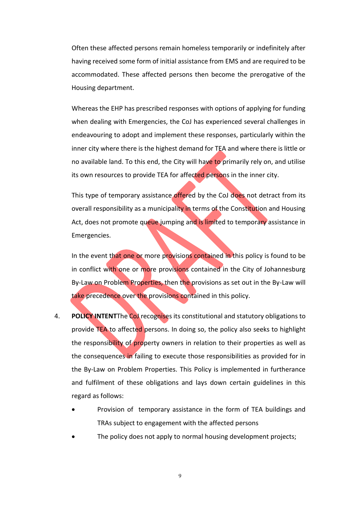Often these affected persons remain homeless temporarily or indefinitely after having received some form of initial assistance from EMS and are required to be accommodated. These affected persons then become the prerogative of the Housing department.

Whereas the EHP has prescribed responses with options of applying for funding when dealing with Emergencies, the CoJ has experienced several challenges in endeavouring to adopt and implement these responses, particularly within the inner city where there is the highest demand for TEA and where there is little or no available land. To this end, the City will have to primarily rely on, and utilise its own resources to provide TEA for affected persons in the inner city.

This type of temporary assistance offered by the CoJ does not detract from its overall responsibility as a municipality in terms of the Constitution and Housing Act, does not promote queue jumping and is limited to temporary assistance in Emergencies.

In the event that one or more provisions contained in this policy is found to be in conflict with one or more provisions contained in the City of Johannesburg By-Law on Problem Properties, then the provisions as set out in the By-Law will take precedence over the provisions contained in this policy.

- 4. **POLICY INTENT**The CoJ recognises its constitutional and statutory obligations to provide TEA to affected persons. In doing so, the policy also seeks to highlight the responsibility of property owners in relation to their properties as well as the consequences in failing to execute those responsibilities as provided for in the By-Law on Problem Properties. This Policy is implemented in furtherance and fulfilment of these obligations and lays down certain guidelines in this regard as follows:
	- Provision of temporary assistance in the form of TEA buildings and TRAs subject to engagement with the affected persons
	- The policy does not apply to normal housing development projects;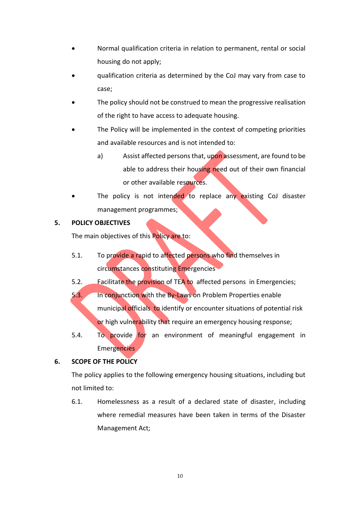- Normal qualification criteria in relation to permanent, rental or social housing do not apply;
- qualification criteria as determined by the CoJ may vary from case to case;
- The policy should not be construed to mean the progressive realisation of the right to have access to adequate housing.
- The Policy will be implemented in the context of competing priorities and available resources and is not intended to:
	- a) Assist affected persons that, upon assessment, are found to be able to address their housing need out of their own financial or other available resources.
- The policy is not intended to replace any existing CoJ disaster management programmes;

# **5. POLICY OBJECTIVES**

The main objectives of this Policy are to:

- 5.1. To provide a rapid to affected persons who find themselves in circumstances constituting Emergencies
- 5.2. Facilitate the provision of TEA to affected persons in Emergencies;
- 5.3. In conjunction with the By-Laws on Problem Properties enable municipal officials to identify or encounter situations of potential risk or high vulnerability that require an emergency housing response;
- 5.4. To provide for an environment of meaningful engagement in Emergencies

# **6. SCOPE OF THE POLICY**

The policy applies to the following emergency housing situations, including but not limited to:

6.1. Homelessness as a result of a declared state of disaster, including where remedial measures have been taken in terms of the Disaster Management Act;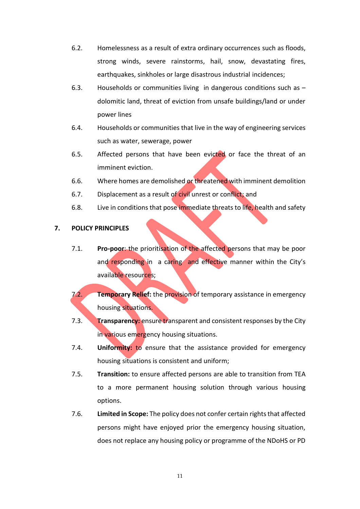- 6.2. Homelessness as a result of extra ordinary occurrences such as floods, strong winds, severe rainstorms, hail, snow, devastating fires, earthquakes, sinkholes or large disastrous industrial incidences;
- 6.3. Households or communities living in dangerous conditions such as dolomitic land, threat of eviction from unsafe buildings/land or under power lines
- 6.4. Households or communities that live in the way of engineering services such as water, sewerage, power
- 6.5. Affected persons that have been evicted or face the threat of an imminent eviction.
- 6.6. Where homes are demolished or threatened with imminent demolition
- 6.7. Displacement as a result of civil unrest or conflict; and
- 6.8. Live in conditions that pose immediate threats to life, health and safety

#### **7. POLICY PRINCIPLES**

- 7.1. **Pro-poor**: the prioritisation of the affected persons that may be poor and responding in a caring and effective manner within the City's available resources;
- 7.2. **Temporary Relief:** the provision of temporary assistance in emergency housing situations.
- 7.3. **Transparency:** ensure transparent and consistent responses by the City in various emergency housing situations.
- 7.4. **Uniformity:** to ensure that the assistance provided for emergency housing situations is consistent and uniform;
- 7.5. **Transition:** to ensure affected persons are able to transition from TEA to a more permanent housing solution through various housing options.
- 7.6. **Limited in Scope:** The policy does not confer certain rights that affected persons might have enjoyed prior the emergency housing situation, does not replace any housing policy or programme of the NDoHS or PD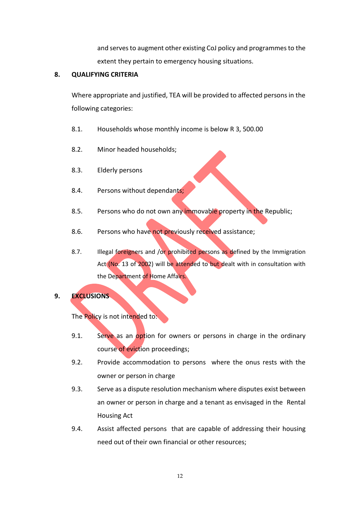and serves to augment other existing CoJ policy and programmes to the extent they pertain to emergency housing situations.

#### **8. QUALIFYING CRITERIA**

Where appropriate and justified, TEA will be provided to affected persons in the following categories:

- 8.1. Households whose monthly income is below R 3, 500.00
- 8.2. Minor headed households;
- 8.3. Elderly persons
- 8.4. Persons without dependants;
- 8.5. Persons who do not own any immovable property in the Republic;
- 8.6. Persons who have not previously received assistance;
- 8.7. Illegal foreigners and /or prohibited persons as defined by the Immigration Act (No. 13 of 2002) will be attended to but dealt with in consultation with the Department of Home Affairs.

## **9. EXCLUSIONS**

The Policy is not intended to:

- 9.1. Serve as an option for owners or persons in charge in the ordinary course of eviction proceedings;
- 9.2. Provide accommodation to persons where the onus rests with the owner or person in charge
- 9.3. Serve as a dispute resolution mechanism where disputes exist between an owner or person in charge and a tenant as envisaged in the Rental Housing Act
- 9.4. Assist affected persons that are capable of addressing their housing need out of their own financial or other resources;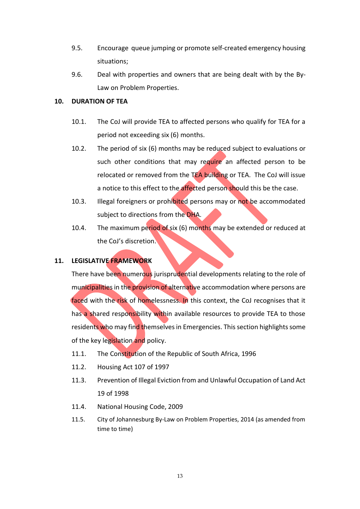- 9.5. Encourage queue jumping or promote self-created emergency housing situations;
- 9.6. Deal with properties and owners that are being dealt with by the By-Law on Problem Properties.

## **10. DURATION OF TEA**

- 10.1. The CoJ will provide TEA to affected persons who qualify for TEA for a period not exceeding six (6) months.
- 10.2. The period of six (6) months may be reduced subject to evaluations or such other conditions that may require an affected person to be relocated or removed from the TEA building or TEA. The CoJ will issue a notice to this effect to the affected person should this be the case.
- 10.3. Illegal foreigners or prohibited persons may or not be accommodated subject to directions from the DHA.
- 10.4. The maximum period of six (6) months may be extended or reduced at the CoJ's discretion.

# **11. LEGISLATIVE FRAMEWORK**

There have been numerous jurisprudential developments relating to the role of municipalities in the provision of alternative accommodation where persons are faced with the risk of homelessness. In this context, the CoJ recognises that it has a shared responsibility within available resources to provide TEA to those residents who may find themselves in Emergencies. This section highlights some of the key legislation and policy.

- 11.1. The Constitution of the Republic of South Africa, 1996
- 11.2. Housing Act 107 of 1997
- 11.3. Prevention of Illegal Eviction from and Unlawful Occupation of Land Act 19 of 1998
- 11.4. National Housing Code, 2009
- 11.5. City of Johannesburg By-Law on Problem Properties, 2014 (as amended from time to time)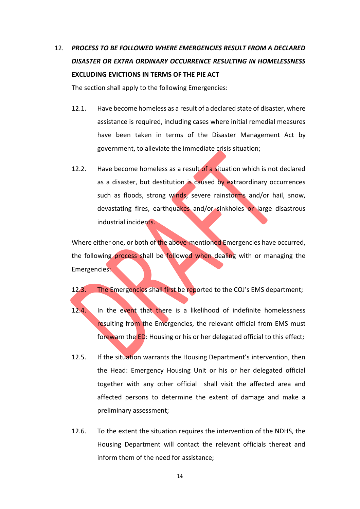# 12. *PROCESS TO BE FOLLOWED WHERE EMERGENCIES RESULT FROM A DECLARED DISASTER OR EXTRA ORDINARY OCCURRENCE RESULTING IN HOMELESSNESS* **EXCLUDING EVICTIONS IN TERMS OF THE PIE ACT**

The section shall apply to the following Emergencies:

- 12.1. Have become homeless as a result of a declared state of disaster, where assistance is required, including cases where initial remedial measures have been taken in terms of the Disaster Management Act by government, to alleviate the immediate crisis situation;
- 12.2. Have become homeless as a result of a situation which is not declared as a disaster, but destitution is caused by extraordinary occurrences such as floods, strong winds, severe rainstorms and/or hail, snow, devastating fires, earthquakes and/or sinkholes or large disastrous industrial incidents.

Where either one, or both of the above-mentioned Emergencies have occurred, the following process shall be followed when dealing with or managing the Emergencies:

12.3. The Emergencies shall first be reported to the COJ's EMS department;

- 12.4. In the event that there is a likelihood of indefinite homelessness resulting from the Emergencies, the relevant official from EMS must forewarn the ED: Housing or his or her delegated official to this effect;
- 12.5. If the situation warrants the Housing Department's intervention, then the Head: Emergency Housing Unit or his or her delegated official together with any other official shall visit the affected area and affected persons to determine the extent of damage and make a preliminary assessment;
- 12.6. To the extent the situation requires the intervention of the NDHS, the Housing Department will contact the relevant officials thereat and inform them of the need for assistance;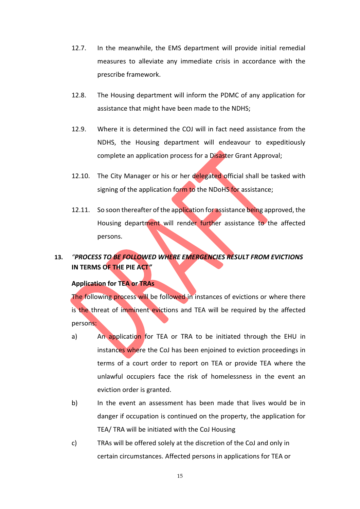- 12.7. In the meanwhile, the EMS department will provide initial remedial measures to alleviate any immediate crisis in accordance with the prescribe framework.
- 12.8. The Housing department will inform the PDMC of any application for assistance that might have been made to the NDHS;
- 12.9. Where it is determined the COJ will in fact need assistance from the NDHS, the Housing department will endeavour to expeditiously complete an application process for a Disaster Grant Approval;
- 12.10. The City Manager or his or her delegated official shall be tasked with signing of the application form to the NDoHS for assistance;
- 12.11. So soon thereafter of the application for assistance being approved, the Housing department will render further assistance to the affected persons.

# **13.** *"PROCESS TO BE FOLLOWED WHERE EMERGENCIES RESULT FROM EVICTIONS*  **IN TERMS OF THE PIE ACT***"*

#### **Application for TEA or TRAs**

The following process will be followed in instances of evictions or where there is the threat of imminent evictions and TEA will be required by the affected persons:

- a) An application for TEA or TRA to be initiated through the EHU in instances where the CoJ has been enjoined to eviction proceedings in terms of a court order to report on TEA or provide TEA where the unlawful occupiers face the risk of homelessness in the event an eviction order is granted.
- b) In the event an assessment has been made that lives would be in danger if occupation is continued on the property, the application for TEA/ TRA will be initiated with the CoJ Housing
- c) TRAs will be offered solely at the discretion of the CoJ and only in certain circumstances. Affected persons in applications for TEA or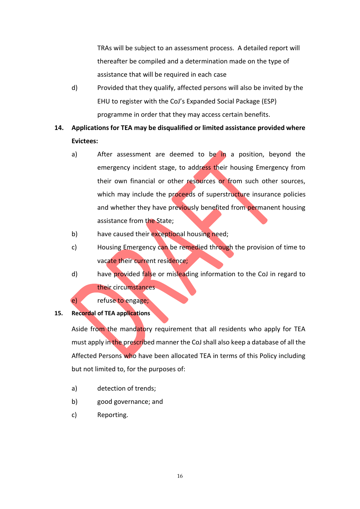TRAs will be subject to an assessment process. A detailed report will thereafter be compiled and a determination made on the type of assistance that will be required in each case

d) Provided that they qualify, affected persons will also be invited by the EHU to register with the CoJ's Expanded Social Package (ESP) programme in order that they may access certain benefits.

# **14. Applications for TEA may be disqualified or limited assistance provided where Evictees:**

- a) After assessment are deemed to be in a position, beyond the emergency incident stage, to address their housing Emergency from their own financial or other resources or from such other sources, which may include the proceeds of superstructure insurance policies and whether they have previously benefited from permanent housing assistance from the State;
- b) have caused their exceptional housing need;
- c) Housing Emergency can be remedied through the provision of time to vacate their current residence;
- d) have provided false or misleading information to the CoJ in regard to their circumstances

e) refuse to engage;

#### **15. Recordal of TEA applications**

Aside from the mandatory requirement that all residents who apply for TEA must apply in the prescribed manner the CoJ shall also keep a database of all the Affected Persons who have been allocated TEA in terms of this Policy including but not limited to, for the purposes of:

- a) detection of trends;
- b) good governance; and
- c) Reporting.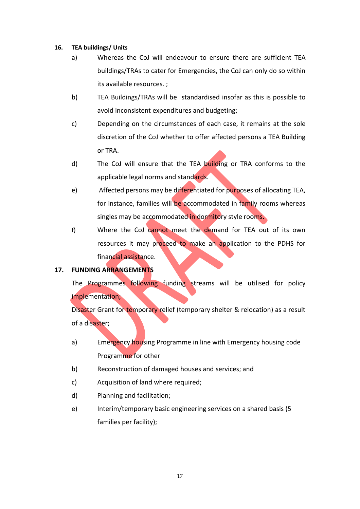#### **16. TEA buildings/ Units**

- a) Whereas the CoJ will endeavour to ensure there are sufficient TEA buildings/TRAs to cater for Emergencies, the CoJ can only do so within its available resources. ;
- b) TEA Buildings/TRAs will be standardised insofar as this is possible to avoid inconsistent expenditures and budgeting;
- c) Depending on the circumstances of each case, it remains at the sole discretion of the CoJ whether to offer affected persons a TEA Building or TRA.
- d) The CoJ will ensure that the TEA building or TRA conforms to the applicable legal norms and standards.
- e) Affected persons may be differentiated for purposes of allocating TEA, for instance, families will be accommodated in family rooms whereas singles may be accommodated in dormitory style rooms.
- f) Where the CoJ cannot meet the demand for TEA out of its own resources it may proceed to make an application to the PDHS for financial assistance.

# **17. FUNDING ARRANGEMENTS**

The Programmes following funding streams will be utilised for policy implementation;

Disaster Grant for temporary relief (temporary shelter & relocation) as a result of a disaster;

- a) Emergency housing Programme in line with Emergency housing code Programme for other
- b) Reconstruction of damaged houses and services; and
- c) Acquisition of land where required;
- d) Planning and facilitation;
- e) Interim/temporary basic engineering services on a shared basis (5 families per facility);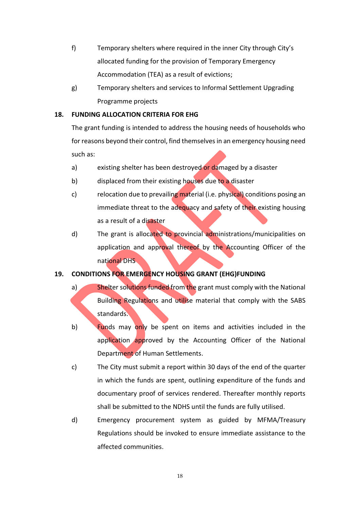- f) Temporary shelters where required in the inner City through City's allocated funding for the provision of Temporary Emergency Accommodation (TEA) as a result of evictions;
- g) Temporary shelters and services to Informal Settlement Upgrading Programme projects

## **18. FUNDING ALLOCATION CRITERIA FOR EHG**

The grant funding is intended to address the housing needs of households who for reasons beyond their control, find themselves in an emergency housing need such as:

- a) existing shelter has been destroyed or damaged by a disaster
- b) displaced from their existing houses due to a disaster
- c) relocation due to prevailing material (i.e. physical) conditions posing an immediate threat to the adequacy and safety of their existing housing as a result of a disaster
- d) The grant is allocated to provincial administrations/municipalities on application and approval thereof by the Accounting Officer of the national DHS

# **19. CONDITIONS FOR EMERGENCY HOUSING GRANT (EHG)FUNDING**

- a) Shelter solutions funded from the grant must comply with the National Building Regulations and utilise material that comply with the SABS standards.
- b) Funds may only be spent on items and activities included in the application approved by the Accounting Officer of the National Department of Human Settlements.
- c) The City must submit a report within 30 days of the end of the quarter in which the funds are spent, outlining expenditure of the funds and documentary proof of services rendered. Thereafter monthly reports shall be submitted to the NDHS until the funds are fully utilised.
- d) Emergency procurement system as guided by MFMA/Treasury Regulations should be invoked to ensure immediate assistance to the affected communities.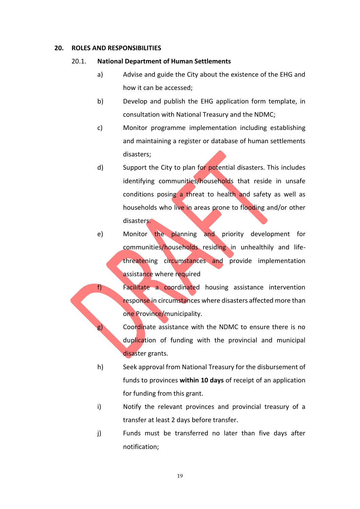#### **20. ROLES AND RESPONSIBILITIES**

#### 20.1. **National Department of Human Settlements**

- a) Advise and guide the City about the existence of the EHG and how it can be accessed;
- b) Develop and publish the EHG application form template, in consultation with National Treasury and the NDMC;
- c) Monitor programme implementation including establishing and maintaining a register or database of human settlements disasters;
- d) Support the City to plan for potential disasters. This includes identifying communities/households that reside in unsafe conditions posing a threat to health and safety as well as households who live in areas prone to flooding and/or other disasters.
- e) Monitor the planning and priority development for communities/households residing in unhealthily and lifethreatening circumstances and provide implementation assistance where required
- f) Facilitate a coordinated housing assistance intervention response in circumstances where disasters affected more than one Province/municipality.
	- g) Coordinate assistance with the NDMC to ensure there is no duplication of funding with the provincial and municipal disaster grants.
	- h) Seek approval from National Treasury for the disbursement of funds to provinces **within 10 days** of receipt of an application for funding from this grant.
	- i) Notify the relevant provinces and provincial treasury of a transfer at least 2 days before transfer.
	- j) Funds must be transferred no later than five days after notification;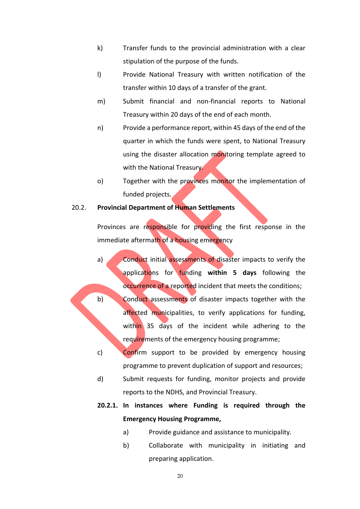- k) Transfer funds to the provincial administration with a clear stipulation of the purpose of the funds.
- l) Provide National Treasury with written notification of the transfer within 10 days of a transfer of the grant.
- m) Submit financial and non-financial reports to National Treasury within 20 days of the end of each month.
- n) Provide a performance report, within 45 days of the end of the quarter in which the funds were spent, to National Treasury using the disaster allocation monitoring template agreed to with the National Treasury.
- o) Together with the provinces monitor the implementation of funded projects.

#### 20.2. **Provincial Department of Human Settlements**

Provinces are responsible for providing the first response in the immediate aftermath of a housing emergency

- a) Conduct initial assessments of disaster impacts to verify the applications for funding **within 5 days** following the occurrence of a reported incident that meets the conditions;
- b) Conduct assessments of disaster impacts together with the affected municipalities, to verify applications for funding, within 35 days of the incident while adhering to the requirements of the emergency housing programme;

c) Confirm support to be provided by emergency housing programme to prevent duplication of support and resources;

d) Submit requests for funding, monitor projects and provide reports to the NDHS, and Provincial Treasury.

# **20.2.1. In instances where Funding is required through the Emergency Housing Programme,**

- a) Provide guidance and assistance to municipality.
- b) Collaborate with municipality in initiating and preparing application.

20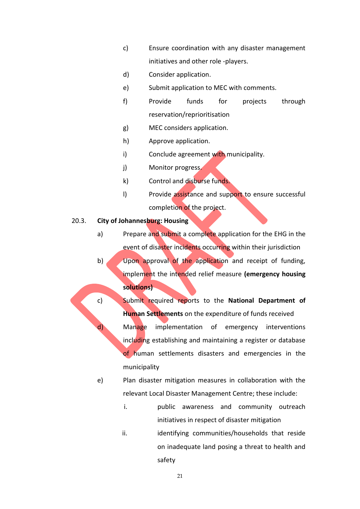- c) Ensure coordination with any disaster management initiatives and other role -players.
- d) Consider application.
- e) Submit application to MEC with comments.
- f) Provide funds for projects through reservation/reprioritisation
- g) MEC considers application.
- h) Approve application.
- i) Conclude agreement with municipality.
- j) Monitor progress.
- k) Control and disburse funds.
- I) Provide assistance and support to ensure successful completion of the project.

#### 20.3. **City of Johannesburg: Housing**

- a) Prepare and submit a complete application for the EHG in the event of disaster incidents occurring within their jurisdiction b) Upon approval of the application and receipt of funding,
	- implement the intended relief measure **(emergency housing solutions)**
- c) Submit required reports to the **National Department of Human Settlements** on the expenditure of funds received d) Manage implementation of emergency interventions including establishing and maintaining a register or database of human settlements disasters and emergencies in the municipality
	- e) Plan disaster mitigation measures in collaboration with the relevant Local Disaster Management Centre; these include:
		- i. public awareness and community outreach initiatives in respect of disaster mitigation
		- ii. ii. identifying communities/households that reside on inadequate land posing a threat to health and safety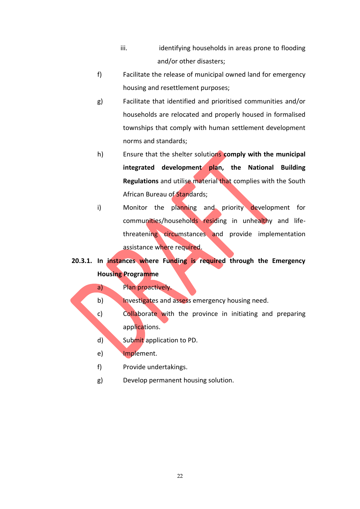- iii. iii. identifying households in areas prone to flooding and/or other disasters;
- f) Facilitate the release of municipal owned land for emergency housing and resettlement purposes;
- g) Facilitate that identified and prioritised communities and/or households are relocated and properly housed in formalised townships that comply with human settlement development norms and standards;
- h) Ensure that the shelter solutions **comply with the municipal integrated development plan, the National Building Regulations** and utilise material that complies with the South African Bureau of Standards;
- i) Monitor the planning and priority development for communities/households residing in unhealthy and lifethreatening circumstances and provide implementation assistance where required.
- **20.3.1. In instances where Funding is required through the Emergency Housing Programme**

#### a) Plan proactively.

b) Investigates and assess emergency housing need.

- c) Collaborate with the province in initiating and preparing applications.
- d) Submit application to PD.
- e) Implement.
- f) Provide undertakings.
- g) Develop permanent housing solution.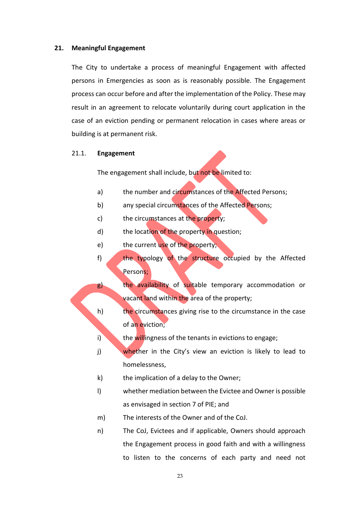#### **21. Meaningful Engagement**

The City to undertake a process of meaningful Engagement with affected persons in Emergencies as soon as is reasonably possible. The Engagement process can occur before and after the implementation of the Policy. These may result in an agreement to relocate voluntarily during court application in the case of an eviction pending or permanent relocation in cases where areas or building is at permanent risk.

#### 21.1. **Engagement**

The engagement shall include, but not be limited to:

- a) the number and circumstances of the Affected Persons;
- b) any special circumstances of the Affected Persons;
- c) the circumstances at the property;
- d) the location of the property in question;
- e) the current use of the property;
- f) the typology of the structure occupied by the Affected Persons;

g) the availability of suitable temporary accommodation or vacant land within the area of the property;

- h) the circumstances giving rise to the circumstance in the case of an eviction;
- i) the willingness of the tenants in evictions to engage;
- j) whether in the City's view an eviction is likely to lead to homelessness,
- k) the implication of a delay to the Owner;
- l) whether mediation between the Evictee and Owner is possible as envisaged in section 7 of PIE; and
- m) The interests of the Owner and of the CoJ.
- n) The CoJ, Evictees and if applicable, Owners should approach the Engagement process in good faith and with a willingness to listen to the concerns of each party and need not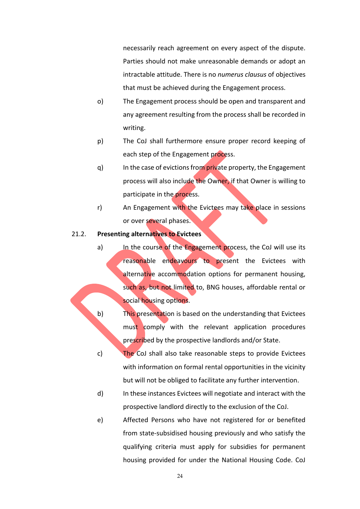necessarily reach agreement on every aspect of the dispute. Parties should not make unreasonable demands or adopt an intractable attitude. There is no *numerus clausus* of objectives that must be achieved during the Engagement process.

- o) The Engagement process should be open and transparent and any agreement resulting from the process shall be recorded in writing.
- p) The CoJ shall furthermore ensure proper record keeping of each step of the Engagement process.
- q) In the case of evictions from private property, the Engagement process will also include the Owner, if that Owner is willing to participate in the process.
- r) An Engagement with the Evictees may take place in sessions or over several phases.

#### 21.2. **Presenting alternatives to Evictees**

- a) In the course of the Engagement process, the CoJ will use its reasonable endeavours to present the Evictees with alternative accommodation options for permanent housing, such as, but not limited to, BNG houses, affordable rental or social housing options.
- b) This presentation is based on the understanding that Evictees must comply with the relevant application procedures prescribed by the prospective landlords and/or State.
- c) The CoJ shall also take reasonable steps to provide Evictees with information on formal rental opportunities in the vicinity but will not be obliged to facilitate any further intervention.
- d) In these instances Evictees will negotiate and interact with the prospective landlord directly to the exclusion of the CoJ.
- e) Affected Persons who have not registered for or benefited from state-subsidised housing previously and who satisfy the qualifying criteria must apply for subsidies for permanent housing provided for under the National Housing Code. CoJ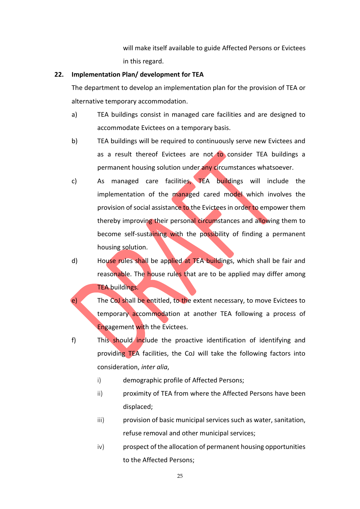will make itself available to guide Affected Persons or Evictees in this regard.

#### **22. Implementation Plan/ development for TEA**

The department to develop an implementation plan for the provision of TEA or alternative temporary accommodation.

- a) TEA buildings consist in managed care facilities and are designed to accommodate Evictees on a temporary basis.
- b) TEA buildings will be required to continuously serve new Evictees and as a result thereof Evictees are not to consider TEA buildings a permanent housing solution under any circumstances whatsoever.
- c) As managed care facilities, TEA buildings will include the implementation of the managed cared model which involves the provision of social assistance to the Evictees in order to empower them thereby improving their personal circumstances and allowing them to become self-sustaining with the possibility of finding a permanent housing solution.
- d) House rules shall be applied at TEA buildings, which shall be fair and reasonable. The house rules that are to be applied may differ among TEA buildings.
- e) The CoJ shall be entitled, to the extent necessary, to move Evictees to temporary accommodation at another TEA following a process of Engagement with the Evictees.
- f) This should include the proactive identification of identifying and providing TEA facilities, the CoJ will take the following factors into consideration, *inter alia*,
	- i) demographic profile of Affected Persons;
	- ii) proximity of TEA from where the Affected Persons have been displaced;
	- iii) provision of basic municipal services such as water, sanitation, refuse removal and other municipal services;
	- iv) prospect of the allocation of permanent housing opportunities to the Affected Persons;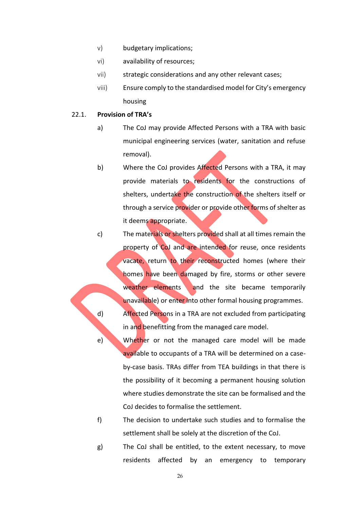- v) budgetary implications;
- vi) availability of resources;
- vii) strategic considerations and any other relevant cases;
- viii) Ensure comply to the standardised model for City's emergency housing

#### 22.1. **Provision of TRA's**

- a) The CoJ may provide Affected Persons with a TRA with basic municipal engineering services (water, sanitation and refuse removal).
- b) Where the CoJ provides Affected Persons with a TRA, it may provide materials to residents for the constructions of shelters, undertake the construction of the shelters itself or through a service provider or provide other forms of shelter as it deems appropriate.
- c) The materials or shelters provided shall at all times remain the property of CoJ and are intended for reuse, once residents vacate, return to their reconstructed homes (where their homes have been damaged by fire, storms or other severe weather elements and the site became temporarily unavailable) or enter into other formal housing programmes. d) Affected Persons in a TRA are not excluded from participating in and benefitting from the managed care model.
- e) Whether or not the managed care model will be made available to occupants of a TRA will be determined on a caseby-case basis. TRAs differ from TEA buildings in that there is the possibility of it becoming a permanent housing solution where studies demonstrate the site can be formalised and the CoJ decides to formalise the settlement.
- f) The decision to undertake such studies and to formalise the settlement shall be solely at the discretion of the CoJ.
- g) The CoJ shall be entitled, to the extent necessary, to move residents affected by an emergency to temporary

26